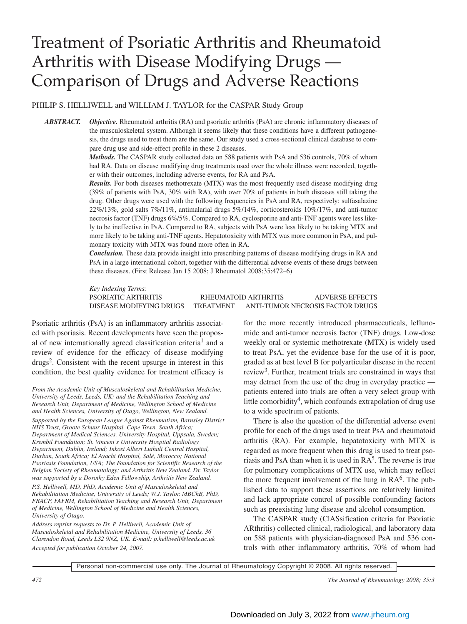# Treatment of Psoriatic Arthritis and Rheumatoid Arthritis with Disease Modifying Drugs — Comparison of Drugs and Adverse Reactions

PHILIP S. HELLIWELL and WILLIAM J. TAYLOR for the CASPAR Study Group

*ABSTRACT. Objective.* Rheumatoid arthritis (RA) and psoriatic arthritis (PsA) are chronic inflammatory diseases of the musculoskeletal system. Although it seems likely that these conditions have a different pathogenesis, the drugs used to treat them are the same. Our study used a cross-sectional clinical database to compare drug use and side-effect profile in these 2 diseases.

> *Methods.* The CASPAR study collected data on 588 patients with PsA and 536 controls, 70% of whom had RA. Data on disease modifying drug treatments used over the whole illness were recorded, together with their outcomes, including adverse events, for RA and PsA.

> *Results.* For both diseases methotrexate (MTX) was the most frequently used disease modifying drug (39% of patients with PsA, 30% with RA), with over 70% of patients in both diseases still taking the drug. Other drugs were used with the following frequencies in PsA and RA, respectively: sulfasalazine 22%/13%, gold salts 7%/11%, antimalarial drugs 5%/14%, corticosteroids 10%/17%, and anti-tumor necrosis factor (TNF) drugs 6%/5%. Compared to RA, cyclosporine and anti-TNF agents were less likely to be ineffective in PsA. Compared to RA, subjects with PsA were less likely to be taking MTX and more likely to be taking anti-TNF agents. Hepatotoxicity with MTX was more common in PsA, and pulmonary toxicity with MTX was found more often in RA.

> *Conclusion.* These data provide insight into prescribing patterns of disease modifying drugs in RA and PsA in a large international cohort, together with the differential adverse events of these drugs between these diseases. (First Release Jan 15 2008; J Rheumatol 2008;35:472–6)

> *Key Indexing Terms:* PSORIATIC ARTHRITIS RHEUMATOID ARTHRITIS ADVERSE EFFECTS DISEASE MODIFYING DRUGS TREATMENT ANTI-TUMOR NECROSIS FACTOR DRUGS

Psoriatic arthritis (PsA) is an inflammatory arthritis associated with psoriasis. Recent developments have seen the proposal of new internationally agreed classification criteria<sup>1</sup> and a review of evidence for the efficacy of disease modifying drugs<sup>2</sup>. Consistent with the recent upsurge in interest in this condition, the best quality evidence for treatment efficacy is

*From the Academic Unit of Musculoskeletal and Rehabilitation Medicine, University of Leeds, Leeds, UK; and the Rehabilitation Teaching and Research Unit, Department of Medicine, Wellington School of Medicine and Health Sciences, University of Otago, Wellington, New Zealand.*

*Supported by the European League Against Rheumatism, Barnsley District NHS Trust, Groote Schuur Hospital, Cape Town, South Africa; Department of Medical Sciences, University Hospital, Uppsala, Sweden; Krembil Foundation; St. Vincent's University Hospital Radiology Department, Dublin, Ireland; Inkosi Albert Luthuli Central Hospital, Durban, South Africa; El Ayachi Hospital, Salé, Morocco; National Psoriasis Foundation, USA; The Foundation for Scientific Research of the Belgian Society of Rheumatology; and Arthritis New Zealand. Dr. Taylor was supported by a Dorothy Eden Fellowship, Arthritis New Zealand.*

*P.S. Helliwell, MD, PhD, Academic Unit of Musculoskeletal and Rehabilitation Medicine, University of Leeds; W.J. Taylor, MBChB, PhD, FRACP, FAFRM, Rehabilitation Teaching and Research Unit, Department of Medicine, Wellington School of Medicine and Health Sciences, University of Otago.*

*Address reprint requests to Dr. P. Helliwell, Academic Unit of Musculoskeletal and Rehabilitation Medicine, University of Leeds, 36 Clarendon Road, Leeds LS2 9NZ, UK. E-mail: p.helliwell@leeds.ac.uk Accepted for publication October 24, 2007.*

for the more recently introduced pharmaceuticals, leflunomide and anti-tumor necrosis factor (TNF) drugs. Low-dose weekly oral or systemic methotrexate (MTX) is widely used to treat PsA, yet the evidence base for the use of it is poor, graded as at best level B for polyarticular disease in the recent review<sup>3</sup>. Further, treatment trials are constrained in ways that may detract from the use of the drug in everyday practice patients entered into trials are often a very select group with little comorbidity<sup>4</sup>, which confounds extrapolation of drug use to a wide spectrum of patients.

There is also the question of the differential adverse event profile for each of the drugs used to treat PsA and rheumatoid arthritis (RA). For example, hepatotoxicity with MTX is regarded as more frequent when this drug is used to treat psoriasis and PsA than when it is used in  $RA<sup>5</sup>$ . The reverse is true for pulmonary complications of MTX use, which may reflect the more frequent involvement of the lung in  $RA<sup>6</sup>$ . The published data to support these assertions are relatively limited and lack appropriate control of possible confounding factors such as preexisting lung disease and alcohol consumption.

The CASPAR study (ClASsification criteria for Psoriatic ARthritis) collected clinical, radiological, and laboratory data on 588 patients with physician-diagnosed PsA and 536 controls with other inflammatory arthritis, 70% of whom had

Personal non-commercial use only. The Journal of Rheumatology Copyright © 2008. All rights reserved.

*472 The Journal of Rheumatology 2008; 35:3*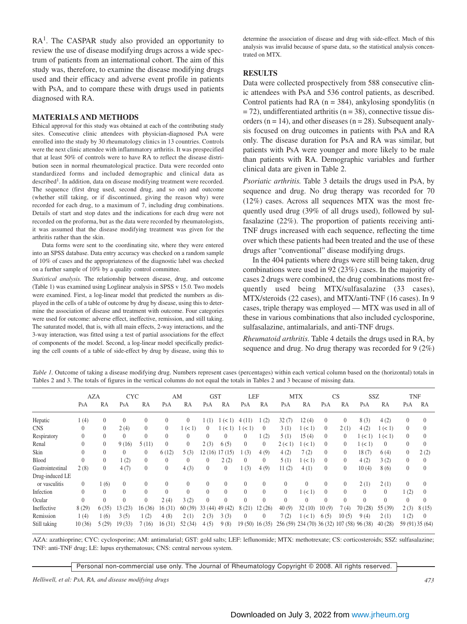RA<sup>1</sup>. The CASPAR study also provided an opportunity to review the use of disease modifying drugs across a wide spectrum of patients from an international cohort. The aim of this study was, therefore, to examine the disease modifying drugs used and their efficacy and adverse event profile in patients with PsA, and to compare these with drugs used in patients diagnosed with RA.

#### **MATERIALS AND METHODS**

Ethical approval for this study was obtained at each of the contributing study sites. Consecutive clinic attendees with physician-diagnosed PsA were enrolled into the study by 30 rheumatology clinics in 13 countries. Controls were the next clinic attendee with inflammatory arthritis. It was prespecified that at least 50% of controls were to have RA to reflect the disease distribution seen in normal rheumatological practice. Data were recorded onto standardized forms and included demographic and clinical data as described<sup>1</sup>. In addition, data on disease modifying treatment were recorded. The sequence (first drug used, second drug, and so on) and outcome (whether still taking, or if discontinued, giving the reason why) were recorded for each drug, to a maximum of 7, including drug combinations. Details of start and stop dates and the indications for each drug were not recorded on the proforma, but as the data were recorded by rheumatologists, it was assumed that the disease modifying treatment was given for the arthritis rather than the skin.

Data forms were sent to the coordinating site, where they were entered into an SPSS database. Data entry accuracy was checked on a random sample of 10% of cases and the appropriateness of the diagnostic label was checked on a further sample of 10% by a quality control committee.

*Statistical analysis.* The relationship between disease, drug, and outcome (Table 1) was examined using Loglinear analysis in SPSS v 15.0. Two models were examined. First, a log-linear model that predicted the numbers as displayed in the cells of a table of outcome by drug by disease, using this to determine the association of disease and treatment with outcome. Four categories were used for outcome: adverse effect, ineffective, remission, and still taking. The saturated model, that is, with all main effects, 2-way interactions, and the 3-way interaction, was fitted using a test of partial associations for the effect of components of the model. Second, a log-linear model specifically predicting the cell counts of a table of side-effect by drug by disease, using this to

determine the association of disease and drug with side-effect. Much of this analysis was invalid because of sparse data, so the statistical analysis concentrated on MTX.

#### **RESULTS**

Data were collected prospectively from 588 consecutive clinic attendees with PsA and 536 control patients, as described. Control patients had RA  $(n = 384)$ , ankylosing spondylitis  $(n = 164)$  $= 72$ ), undifferentiated arthritis (n = 38), connective tissue disorders ( $n = 14$ ), and other diseases ( $n = 28$ ). Subsequent analysis focused on drug outcomes in patients with PsA and RA only. The disease duration for PsA and RA was similar, but patients with PsA were younger and more likely to be male than patients with RA. Demographic variables and further clinical data are given in Table 2.

*Psoriatic arthritis.* Table 3 details the drugs used in PsA, by sequence and drug. No drug therapy was recorded for 70 (12%) cases. Across all sequences MTX was the most frequently used drug (39% of all drugs used), followed by sulfasalazine (22%). The proportion of patients receiving anti-TNF drugs increased with each sequence, reflecting the time over which these patients had been treated and the use of these drugs after "conventional" disease modifying drugs.

In the 404 patients where drugs were still being taken, drug combinations were used in 92 (23%) cases. In the majority of cases 2 drugs were combined, the drug combinations most frequently used being MTX/sulfasalazine (33 cases), MTX/steroids (22 cases), and MTX/anti-TNF (16 cases). In 9 cases, triple therapy was employed — MTX was used in all of these in various combinations that also included cyclosporine, sulfasalazine, antimalarials, and anti-TNF drugs.

*Rheumatoid arthritis.* Table 4 details the drugs used in RA, by sequence and drug. No drug therapy was recorded for 9 (2%)

*Table 1.* Outcome of taking a disease modifying drug. Numbers represent cases (percentages) within each vertical column based on the (horizontal) totals in Tables 2 and 3. The totals of figures in the vertical columns do not equal the totals in Tables 2 and 3 because of missing data.

|                  | <b>AZA</b> |          | <b>CYC</b>   |              | AM             |          | <b>GST</b> |                | LEF            |                | <b>MTX</b> |                                    | CS             |                | <b>SSZ</b> |          | <b>TNF</b>     |                 |
|------------------|------------|----------|--------------|--------------|----------------|----------|------------|----------------|----------------|----------------|------------|------------------------------------|----------------|----------------|------------|----------|----------------|-----------------|
|                  | PsA        | RA       | PsA          | RA           | PsA            | RA       | PsA        | RA             | PsA            | RA             | PsA        | RA                                 | PsA            | RA             | PsA        | RA       | PsA            | RA              |
| Hepatic          | 1(4)       | $\theta$ | $\theta$     | $\theta$     | $\theta$       | $\theta$ | (1)        | (< 1)          | 4(11)          | (2)            | 32(7)      | 12(4)                              | $\theta$       | $\overline{0}$ | 8(3)       | 4(2)     | $\theta$       | $\Omega$        |
| <b>CNS</b>       | $\theta$   | $\theta$ | 2(4)         | $\Omega$     | $\overline{0}$ | 1 (< 1)  | $\theta$   | (< 1)          | (< 1)          | $\Omega$       | 3(1)       | 1 (< 1)                            | $\overline{0}$ | 2(1)           | 4(2)       | (< 1)    | $\theta$       |                 |
| Respiratory      | $\theta$   | $\theta$ | $\Omega$     | $\theta$     | $\Omega$       | $\Omega$ | $\Omega$   | $\theta$       | $\overline{0}$ | (2)            | 5(1)       | 15(4)                              | $\overline{0}$ | $\overline{0}$ | 1 (< 1)    | (< 1)    | $\overline{0}$ | $\Omega$        |
| Renal            | $\theta$   | $\theta$ | 9(16)        | 5(11)        | $\Omega$       | $\Omega$ | 2(3)       | 6(5)           | $\theta$       | $\Omega$       | 2 (< 1)    | 1 (< 1)                            | $\theta$       | $\overline{0}$ | 1 (< 1)    | $\theta$ | $\theta$       | $\Omega$        |
| Skin             | $\Omega$   | $\theta$ | $\theta$     | $\Omega$     | 6(12)          | 5(3)     | 12 (16)    | 17(15)         | 1(3)           | 4(9)           | 4(2)       | 7(2)                               | $\theta$       | $\overline{0}$ | 18(7)      | 6(4)     | $\overline{0}$ | 2(2)            |
| Blood            | $\theta$   | $\theta$ | 1(2)         | $\Omega$     | $\Omega$       | $\theta$ | $\theta$   | 2(2)           | $\Omega$       | $\Omega$       | 5(1)       | 1 (< 1)                            | $\theta$       | $\overline{0}$ | 4(2)       | 3(2)     | $\theta$       | $\Omega$        |
| Gastrointestinal | 2(8)       | $\theta$ | 4(7)         | $\theta$     | $\Omega$       | 4(3)     | $\theta$   | $\overline{0}$ | 1(3)           | 4(9)           | 11(2)      | 4(1)                               | $\Omega$       | $\overline{0}$ | 10(4)      | 8(6)     | $\theta$       | $\theta$        |
| Drug-induced LE  |            |          |              |              |                |          |            |                |                |                |            |                                    |                |                |            |          |                |                 |
| or vasculitis    | $\theta$   | (6)      | $\theta$     | $\theta$     | $\Omega$       | $\theta$ | $\Omega$   | $\theta$       | $\Omega$       | $\theta$       | $\theta$   | $\theta$                           | $\Omega$       | $\overline{0}$ | 2(1)       | 2(1)     | $\overline{0}$ |                 |
| Infection        | $\theta$   | $\theta$ | $\theta$     | $\theta$     | $\Omega$       | $\Omega$ | $\theta$   | $\Omega$       | $\Omega$       | $\theta$       | $\theta$   | 1 (< 1)                            | $\Omega$       | $\Omega$       | $\theta$   | $\Omega$ | (2)            | $\Omega$        |
| Ocular           | $\theta$   | $\theta$ | $\mathbf{0}$ | $\mathbf{0}$ | 2(4)           | 3(2)     | $\Omega$   | $\theta$       | $\theta$       | $\theta$       | $\theta$   | $\theta$                           | $\Omega$       | $\theta$       | $\theta$   | $\theta$ | $\theta$       | $\Omega$        |
| Ineffective      | 8(29)      | 6(35)    | 13(23)       | 16(36)       | 16(31)         | 60(39)   | 33(44)     | 49 (42)        | 8(21)          | 12(26)         | 40(9)      | 32(10)                             | 10(9)          | 7(4)           | 70(28)     | 55 (39)  | 2(3)           | 8(15)           |
| Remission        | 1(4)       | 1(6)     | 3(5)         | 1(2)         | 4(8)           | 2(1)     | 2(3)       | 3(3)           | $\overline{0}$ | $\overline{0}$ | 7(2)       | 1 (< 1)                            | 6(5)           | 10(5)          | 9(4)       | 2(1)     | 1(2)           | $\left($        |
| Still taking     | 10(36)     | 5(29)    | 19(33)       | 7(16)        | 16(31)         | 52(34)   | 4(5)       | 9(8)           | 19(50) 16(35)  |                |            | 256 (59) 234 (70) 36 (32) 107 (58) |                |                | 96 (38)    | 40(28)   |                | 59 (91) 35 (64) |

AZA: azathioprine; CYC: cyclosporine; AM: antimalarial; GST: gold salts; LEF: leflunomide; MTX: methotrexate; CS: corticosteroids; SSZ: sulfasalazine; TNF: anti-TNF drug; LE: lupus erythematosus; CNS: central nervous system.

Personal non-commercial use only. The Journal of Rheumatology Copyright © 2008. All rights reserved.

*Helliwell, et al: PsA, RA, and disease modifying drugs 473*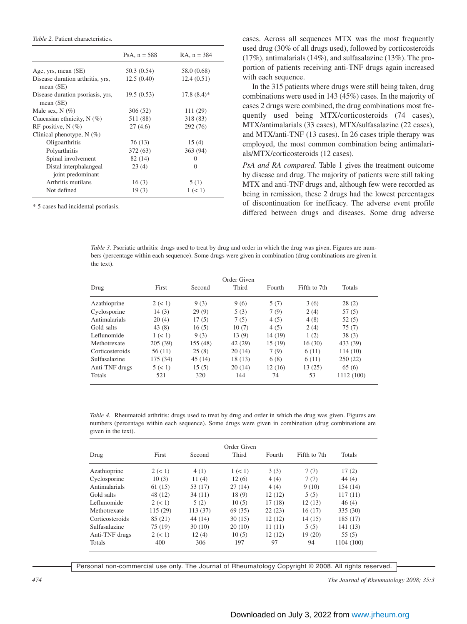*Table 2.* Patient characteristics.

|                                                 | PsA, $n = 588$ | $RA$ , $n = 384$ |
|-------------------------------------------------|----------------|------------------|
| Age, yrs, mean (SE)                             | 50.3 (0.54)    | 58.0 (0.68)      |
| Disease duration arthritis, yrs,<br>mean $(SE)$ | 12.5(0.40)     | 12.4(0.51)       |
| Disease duration psoriasis, yrs,<br>mean $(SE)$ | 19.5(0.53)     | $17.8(8.4)$ *    |
| Male sex, $N$ $(\%)$                            | 306(52)        | 111 (29)         |
| Caucasian ethnicity, $N$ (%)                    | 511 (88)       | 318 (83)         |
| RF-positive, $N$ (%)                            | 27(4.6)        | 292 (76)         |
| Clinical phenotype, $N(\%)$                     |                |                  |
| Oligoarthritis                                  | 76 (13)        | 15(4)            |
| Polyarthritis                                   | 372 (63)       | 363 (94)         |
| Spinal involvement                              | 82 (14)        | $\Omega$         |
| Distal interphalangeal<br>joint predominant     | 23(4)          | $\theta$         |
| Arthritis mutilans                              | 16(3)          | 5(1)             |
| Not defined                                     | 19(3)          | 1 (< 1)          |

\* 5 cases had incidental psoriasis.

cases. Across all sequences MTX was the most frequently used drug (30% of all drugs used), followed by corticosteroids (17%), antimalarials (14%), and sulfasalazine (13%). The proportion of patients receiving anti-TNF drugs again increased with each sequence.

In the 315 patients where drugs were still being taken, drug combinations were used in 143 (45%) cases. In the majority of cases 2 drugs were combined, the drug combinations most frequently used being MTX/corticosteroids (74 cases), MTX/antimalarials (33 cases), MTX/sulfasalazine (22 cases), and MTX/anti-TNF (13 cases). In 26 cases triple therapy was employed, the most common combination being antimalarials/MTX/corticosteroids (12 cases).

*PsA and RA compared.* Table 1 gives the treatment outcome by disease and drug. The majority of patients were still taking MTX and anti-TNF drugs and, although few were recorded as being in remission, these 2 drugs had the lowest percentages of discontinuation for inefficacy. The adverse event profile differed between drugs and diseases. Some drug adverse

*Table 3.* Psoriatic arthritis: drugs used to treat by drug and order in which the drug was given. Figures are numbers (percentage within each sequence). Some drugs were given in combination (drug combinations are given in the text).

| Drug            | First    | Second   | Order Given<br>Third | Fourth  | Fifth to 7th | Totals     |
|-----------------|----------|----------|----------------------|---------|--------------|------------|
| Azathioprine    | 2 (< 1)  | 9(3)     | 9(6)                 | 5(7)    | 3(6)         | 28(2)      |
| Cyclosporine    | 14(3)    | 29(9)    | 5(3)                 | 7(9)    | 2(4)         | 57(5)      |
| Antimalarials   | 20(4)    | 17(5)    | 7(5)                 | 4(5)    | 4(8)         | 52(5)      |
| Gold salts      | 43(8)    | 16(5)    | 10(7)                | 4(5)    | 2(4)         | 75(7)      |
| Leflunomide     | 1 (< 1)  | 9(3)     | 13(9)                | 14 (19) | 1(2)         | 38(3)      |
| Methotrexate    | 205(39)  | 155 (48) | 42 (29)              | 15(19)  | 16(30)       | 433 (39)   |
| Corticosteroids | 56(11)   | 25(8)    | 20(14)               | 7(9)    | 6(11)        | 114(10)    |
| Sulfasalazine   | 175 (34) | 45 (14)  | 18 (13)              | 6(8)    | 6(11)        | 250(22)    |
| Anti-TNF drugs  | 5 (< 1)  | 15(5)    | 20(14)               | 12 (16) | 13(25)       | 65(6)      |
| Totals          | 521      | 320      | 144                  | 74      | 53           | 1112 (100) |

*Table 4.* Rheumatoid arthritis: drugs used to treat by drug and order in which the drug was given. Figures are numbers (percentage within each sequence). Some drugs were given in combination (drug combinations are given in the text).

| Drug            | First    | Second  | Order Given<br>Third | Fourth | Fifth to 7th | Totals     |
|-----------------|----------|---------|----------------------|--------|--------------|------------|
| Azathioprine    | 2 (< 1)  | 4(1)    | 1 (< 1)              | 3(3)   | 7(7)         | 17(2)      |
| Cyclosporine    | 10(3)    | 11(4)   | 12(6)                | 4(4)   | 7(7)         | 44(4)      |
| Antimalarials   | 61(15)   | 53 (17) | 27(14)               | 4(4)   | 9(10)        | 154(14)    |
| Gold salts      | 48 (12)  | 34(11)  | 18(9)                | 12(12) | 5(5)         | 117(11)    |
| Leflunomide     | 2 (< 1)  | 5(2)    | 10(5)                | 17(18) | 12(13)       | 46(4)      |
| Methotrexate    | 115 (29) | 113(37) | 69 (35)              | 22(23) | 16(17)       | 335 (30)   |
| Corticosteroids | 85 (21)  | 44 (14) | 30(15)               | 12(12) | 14(15)       | 185 (17)   |
| Sulfasalazine   | 75 (19)  | 30(10)  | 20(10)               | 11(11) | 5(5)         | 141 (13)   |
| Anti-TNF drugs  | 2 (< 1)  | 12(4)   | 10(5)                | 12(12) | 19(20)       | 55(5)      |
| Totals          | 400      | 306     | 197                  | 97     | 94           | 1104 (100) |

Personal non-commercial use only. The Journal of Rheumatology Copyright © 2008. All rights reserved.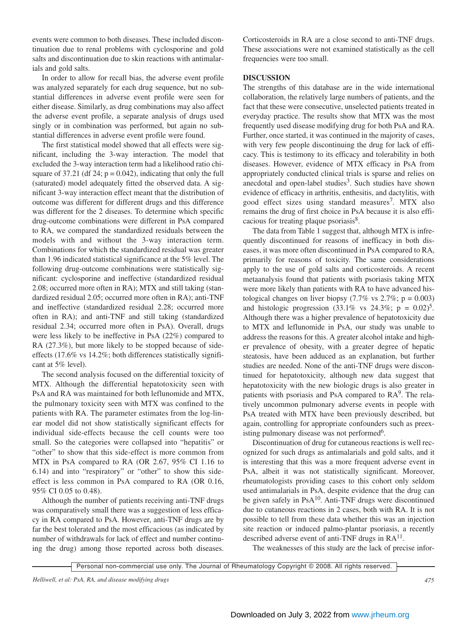events were common to both diseases. These included discontinuation due to renal problems with cyclosporine and gold salts and discontinuation due to skin reactions with antimalarials and gold salts.

In order to allow for recall bias, the adverse event profile was analyzed separately for each drug sequence, but no substantial differences in adverse event profile were seen for either disease. Similarly, as drug combinations may also affect the adverse event profile, a separate analysis of drugs used singly or in combination was performed, but again no substantial differences in adverse event profile were found.

The first statistical model showed that all effects were significant, including the 3-way interaction. The model that excluded the 3-way interaction term had a likelihood ratio chisquare of 37.21 (df 24;  $p = 0.042$ ), indicating that only the full (saturated) model adequately fitted the observed data. A significant 3-way interaction effect meant that the distribution of outcome was different for different drugs and this difference was different for the 2 diseases. To determine which specific drug-outcome combinations were different in PsA compared to RA, we compared the standardized residuals between the models with and without the 3-way interaction term. Combinations for which the standardized residual was greater than 1.96 indicated statistical significance at the 5% level. The following drug-outcome combinations were statistically significant: cyclosporine and ineffective (standardized residual 2.08; occurred more often in RA); MTX and still taking (standardized residual 2.05; occurred more often in RA); anti-TNF and ineffective (standardized residual 2.28; occurred more often in RA); and anti-TNF and still taking (standardized residual 2.34; occurred more often in PsA). Overall, drugs were less likely to be ineffective in PsA (22%) compared to RA (27.3%), but more likely to be stopped because of sideeffects (17.6% vs 14.2%; both differences statistically significant at 5% level).

The second analysis focused on the differential toxicity of MTX. Although the differential hepatotoxicity seen with PsA and RA was maintained for both leflunomide and MTX, the pulmonary toxicity seen with MTX was confined to the patients with RA. The parameter estimates from the log-linear model did not show statistically significant effects for individual side-effects because the cell counts were too small. So the categories were collapsed into "hepatitis" or "other" to show that this side-effect is more common from MTX in PsA compared to RA (OR 2.67, 95% CI 1.16 to 6.14) and into "respiratory" or "other" to show this sideeffect is less common in PsA compared to RA (OR 0.16, 95% CI 0.05 to 0.48).

Although the number of patients receiving anti-TNF drugs was comparatively small there was a suggestion of less efficacy in RA compared to PsA. However, anti-TNF drugs are by far the best tolerated and the most efficacious (as indicated by number of withdrawals for lack of effect and number continuing the drug) among those reported across both diseases. Corticosteroids in RA are a close second to anti-TNF drugs. These associations were not examined statistically as the cell frequencies were too small.

### **DISCUSSION**

The strengths of this database are in the wide international collaboration, the relatively large numbers of patients, and the fact that these were consecutive, unselected patients treated in everyday practice. The results show that MTX was the most frequently used disease modifying drug for both PsA and RA. Further, once started, it was continued in the majority of cases, with very few people discontinuing the drug for lack of efficacy. This is testimony to its efficacy and tolerability in both diseases. However, evidence of MTX efficacy in PsA from appropriately conducted clinical trials is sparse and relies on anecdotal and open-label studies<sup>3</sup>. Such studies have shown evidence of efficacy in arthritis, enthesitis, and dactylitis, with good effect sizes using standard measures<sup>7</sup>. MTX also remains the drug of first choice in PsA because it is also efficacious for treating plaque psoriasis<sup>8</sup>.

The data from Table 1 suggest that, although MTX is infrequently discontinued for reasons of inefficacy in both diseases, it was more often discontinued in PsA compared to RA, primarily for reasons of toxicity. The same considerations apply to the use of gold salts and corticosteroids. A recent metaanalysis found that patients with psoriasis taking MTX were more likely than patients with RA to have advanced histological changes on liver biopsy  $(7.7\% \text{ vs } 2.7\%; \text{ p} = 0.003)$ and histologic progression  $(33.1\% \text{ vs } 24.3\%; \text{ p } = 0.02)^5$ . Although there was a higher prevalence of hepatotoxicity due to MTX and leflunomide in PsA, our study was unable to address the reasons for this. A greater alcohol intake and higher prevalence of obesity, with a greater degree of hepatic steatosis, have been adduced as an explanation, but further studies are needed. None of the anti-TNF drugs were discontinued for hepatotoxicity, although new data suggest that hepatotoxicity with the new biologic drugs is also greater in patients with psoriasis and PsA compared to RA<sup>9</sup>. The relatively uncommon pulmonary adverse events in people with PsA treated with MTX have been previously described, but again, controlling for appropriate confounders such as preexisting pulmonary disease was not performed<sup>6</sup>.

Discontinuation of drug for cutaneous reactions is well recognized for such drugs as antimalarials and gold salts, and it is interesting that this was a more frequent adverse event in PsA, albeit it was not statistically significant. Moreover, rheumatologists providing cases to this cohort only seldom used antimalarials in PsA, despite evidence that the drug can be given safely in PsA10. Anti-TNF drugs were discontinued due to cutaneous reactions in 2 cases, both with RA. It is not possible to tell from these data whether this was an injection site reaction or induced palmo-plantar psoriasis, a recently described adverse event of anti-TNF drugs in  $RA<sup>11</sup>$ .

The weaknesses of this study are the lack of precise infor-